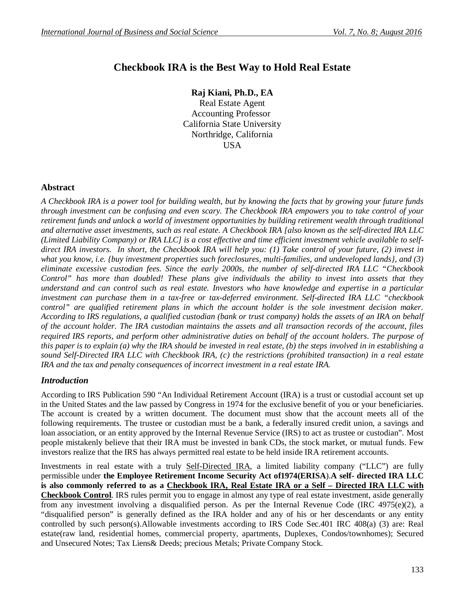# **Checkbook IRA is the Best Way to Hold Real Estate**

**Raj Kiani, Ph.D., EA** Real Estate Agent Accounting Professor California State University Northridge, California USA

#### **Abstract**

*A Checkbook IRA is a power tool for building wealth, but by knowing the facts that by growing your future funds through investment can be confusing and even scary. The Checkbook IRA empowers you to take control of your retirement funds and unlock a world of investment opportunities by building retirement wealth through traditional and alternative asset investments, such as real estate. A Checkbook IRA [also known as the self-directed IRA LLC (Limited Liability Company) or IRA LLC] is a cost effective and time efficient investment vehicle available to selfdirect IRA investors. In short, the Checkbook IRA will help you: (1) Take control of your future, (2) invest in what you know, i.e. {buy investment properties such foreclosures, multi-families, and undeveloped lands}, and (3) eliminate excessive custodian fees. Since the early 2000s, the number of self-directed IRA LLC "Checkbook Control" has more than doubled! These plans give individuals the ability to invest into assets that they understand and can control such as real estate. Investors who have knowledge and expertise in a particular investment can purchase them in a tax-free or tax-deferred environment. Self-directed IRA LLC "checkbook control" are qualified retirement plans in which the account holder is the sole investment decision maker. According to IRS regulations, a qualified custodian (bank or trust company) holds the assets of an IRA on behalf of the account holder. The IRA custodian maintains the assets and all transaction records of the account, files required IRS reports, and perform other administrative duties on behalf of the account holders. The purpose of this paper is to explain (a) why the IRA should be invested in real estate, (b) the steps involved in in establishing a sound Self-Directed IRA LLC with Checkbook IRA, (c) the restrictions (prohibited transaction) in a real estate IRA and the tax and penalty consequences of incorrect investment in a real estate IRA.*

#### *Introduction*

According to IRS Publication 590 "An Individual Retirement Account (IRA) is a trust or custodial account set up in the United States and the law passed by Congress in 1974 for the exclusive benefit of you or your beneficiaries. The account is created by a written document. The document must show that the account meets all of the following requirements. The trustee or custodian must be a bank, a federally insured credit union, a savings and loan association, or an entity approved by the Internal Revenue Service (IRS) to act as trustee or custodian". Most people mistakenly believe that their IRA must be invested in bank CDs, the stock market, or mutual funds. Few investors realize that the IRS has always permitted real estate to be held inside IRA retirement accounts.

Investments in real estate with a truly Self-Directed IRA, a limited liability company ("LLC") are fully permissible under **the Employee Retirement Income Security Act of1974(ERISA**).**A self- directed IRA LLC is also commonly referred to as a Checkbook IRA, Real Estate IRA or a Self – Directed IRA LLC with Checkbook Control**. IRS rules permit you to engage in almost any type of real estate investment, aside generally from any investment involving a disqualified person. As per the Internal Revenue Code (IRC 4975(e)(2), a "disqualified person" is generally defined as the IRA holder and any of his or her descendants or any entity controlled by such person(s).Allowable investments according to IRS Code Sec.401 IRC 408(a) (3) are: Real estate(raw land, residential homes, commercial property, apartments, Duplexes, Condos/townhomes); Secured and Unsecured Notes; Tax Liens& Deeds; precious Metals; Private Company Stock.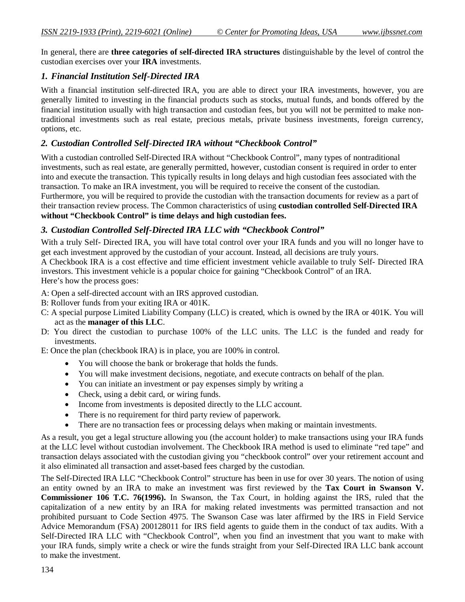In general, there are **three categories of self-directed IRA structures** distinguishable by the level of control the custodian exercises over your **IRA** investments.

## *1. Financial Institution Self-Directed IRA*

With a financial institution self-directed IRA, you are able to direct your IRA investments, however, you are generally limited to investing in the financial products such as stocks, mutual funds, and bonds offered by the financial institution usually with high transaction and custodian fees, but you will not be permitted to make nontraditional investments such as real estate, precious metals, private business investments, foreign currency, options, etc.

## *2. Custodian Controlled Self-Directed IRA without "Checkbook Control"*

With a custodian controlled Self-Directed IRA without "Checkbook Control", many types of nontraditional investments, such as real estate, are generally permitted, however, custodian consent is required in order to enter into and execute the transaction. This typically results in long delays and high custodian fees associated with the transaction. To make an IRA investment, you will be required to receive the consent of the custodian. Furthermore, you will be required to provide the custodian with the transaction documents for review as a part of their transaction review process. The Common characteristics of using **custodian controlled Self**-**Directed IRA without "Checkbook Control" is time delays and high custodian fees.**

# *3. Custodian Controlled Self-Directed IRA LLC with "Checkbook Control"*

With a truly Self- Directed IRA, you will have total control over your IRA funds and you will no longer have to get each investment approved by the custodian of your account. Instead, all decisions are truly yours.

A Checkbook IRA is a cost effective and time efficient investment vehicle available to truly Self- Directed IRA investors. This investment vehicle is a popular choice for gaining "Checkbook Control" of an IRA.

Here's how the process goes:

A: Open a self-directed account with an IRS approved custodian.

- B: Rollover funds from your exiting IRA or 401K.
- C: A special purpose Limited Liability Company (LLC) is created, which is owned by the IRA or 401K. You will act as the **manager of this LLC**.
- D: You direct the custodian to purchase 100% of the LLC units. The LLC is the funded and ready for investments.

E: Once the plan (checkbook IRA) is in place, you are 100% in control.

- You will choose the bank or brokerage that holds the funds.
- You will make investment decisions, negotiate, and execute contracts on behalf of the plan.
- You can initiate an investment or pay expenses simply by writing a
- Check, using a debit card, or wiring funds.
- Income from investments is deposited directly to the LLC account.
- There is no requirement for third party review of paperwork.
- There are no transaction fees or processing delays when making or maintain investments.

As a result, you get a legal structure allowing you (the account holder) to make transactions using your IRA funds at the LLC level without custodian involvement. The Checkbook IRA method is used to eliminate "red tape" and transaction delays associated with the custodian giving you "checkbook control" over your retirement account and it also eliminated all transaction and asset-based fees charged by the custodian.

The Self-Directed IRA LLC "Checkbook Control" structure has been in use for over 30 years. The notion of using an entity owned by an IRA to make an investment was first reviewed by the **Tax Court in Swanson V. Commissioner 106 T.C. 76(1996).** In Swanson, the Tax Court, in holding against the IRS, ruled that the capitalization of a new entity by an IRA for making related investments was permitted transaction and not prohibited pursuant to Code Section 4975. The Swanson Case was later affirmed by the IRS in Field Service Advice Memorandum (FSA) 200128011 for IRS field agents to guide them in the conduct of tax audits. With a Self-Directed IRA LLC with "Checkbook Control", when you find an investment that you want to make with your IRA funds, simply write a check or wire the funds straight from your Self-Directed IRA LLC bank account to make the investment.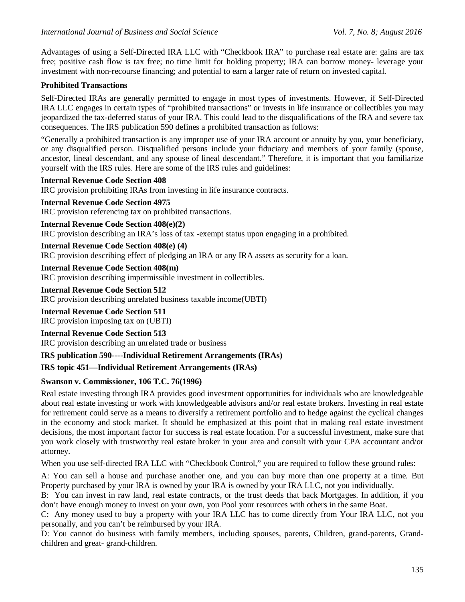Advantages of using a Self-Directed IRA LLC with "Checkbook IRA" to purchase real estate are: gains are tax free; positive cash flow is tax free; no time limit for holding property; IRA can borrow money- leverage your investment with non-recourse financing; and potential to earn a larger rate of return on invested capital.

# **Prohibited Transactions**

Self-Directed IRAs are generally permitted to engage in most types of investments. However, if Self-Directed IRA LLC engages in certain types of "prohibited transactions" or invests in life insurance or collectibles you may jeopardized the tax-deferred status of your IRA. This could lead to the disqualifications of the IRA and severe tax consequences. The IRS publication 590 defines a prohibited transaction as follows:

"Generally a prohibited transaction is any improper use of your IRA account or annuity by you, your beneficiary, or any disqualified person. Disqualified persons include your fiduciary and members of your family (spouse, ancestor, lineal descendant, and any spouse of lineal descendant." Therefore, it is important that you familiarize yourself with the IRS rules. Here are some of the IRS rules and guidelines:

#### **Internal Revenue Code Section 408**

IRC provision prohibiting IRAs from investing in life insurance contracts.

#### **Internal Revenue Code Section 4975**

IRC provision referencing tax on prohibited transactions.

**Internal Revenue Code Section 408(e)(2)**

IRC provision describing an IRA's loss of tax -exempt status upon engaging in a prohibited.

#### **Internal Revenue Code Section 408(e) (4)**

IRC provision describing effect of pledging an IRA or any IRA assets as security for a loan.

#### **Internal Revenue Code Section 408(m)**

IRC provision describing impermissible investment in collectibles.

# **Internal Revenue Code Section 512**

IRC provision describing unrelated business taxable income(UBTI)

# **Internal Revenue Code Section 511**

IRC provision imposing tax on (UBTI)

# **Internal Revenue Code Section 513**

IRC provision describing an unrelated trade or business

# **IRS publication 590----Individual Retirement Arrangements (IRAs)**

#### **IRS topic 451—Individual Retirement Arrangements (IRAs)**

#### **Swanson v. Commissioner, 106 T.C. 76(1996)**

Real estate investing through IRA provides good investment opportunities for individuals who are knowledgeable about real estate investing or work with knowledgeable advisors and/or real estate brokers. Investing in real estate for retirement could serve as a means to diversify a retirement portfolio and to hedge against the cyclical changes in the economy and stock market. It should be emphasized at this point that in making real estate investment decisions, the most important factor for success is real estate location. For a successful investment, make sure that you work closely with trustworthy real estate broker in your area and consult with your CPA accountant and/or attorney.

When you use self-directed IRA LLC with "Checkbook Control," you are required to follow these ground rules:

A: You can sell a house and purchase another one, and you can buy more than one property at a time. But Property purchased by your IRA is owned by your IRA is owned by your IRA LLC, not you individually.

B: You can invest in raw land, real estate contracts, or the trust deeds that back Mortgages. In addition, if you don't have enough money to invest on your own, you Pool your resources with others in the same Boat.

C: Any money used to buy a property with your IRA LLC has to come directly from Your IRA LLC, not you personally, and you can't be reimbursed by your IRA.

D: You cannot do business with family members, including spouses, parents, Children, grand-parents, Grandchildren and great- grand-children.